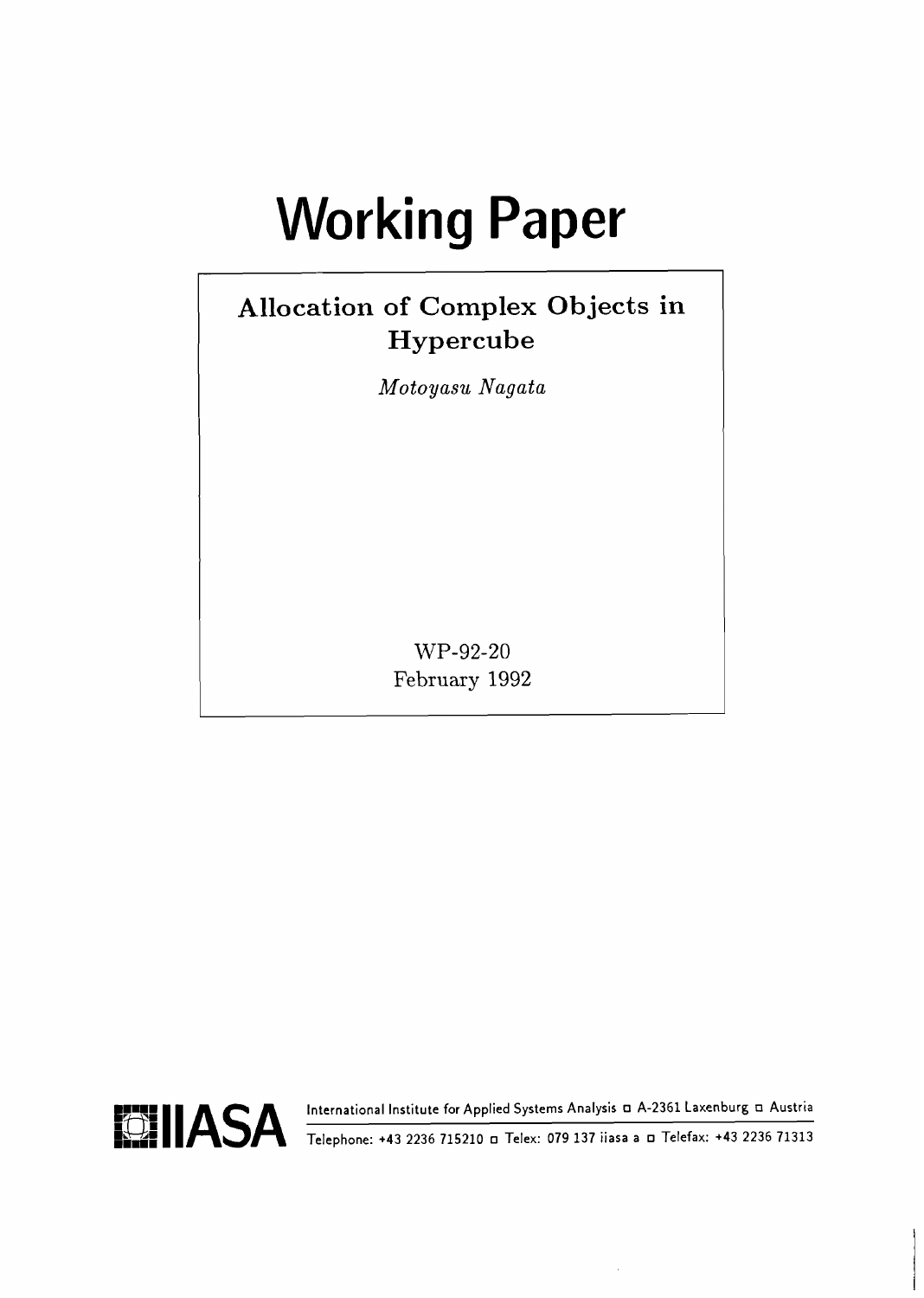# **Working Paper**

# **Allocation of Complex Objects in Hypercube**

*Moto yasu Nagata* 

WP-92-20 February 1992

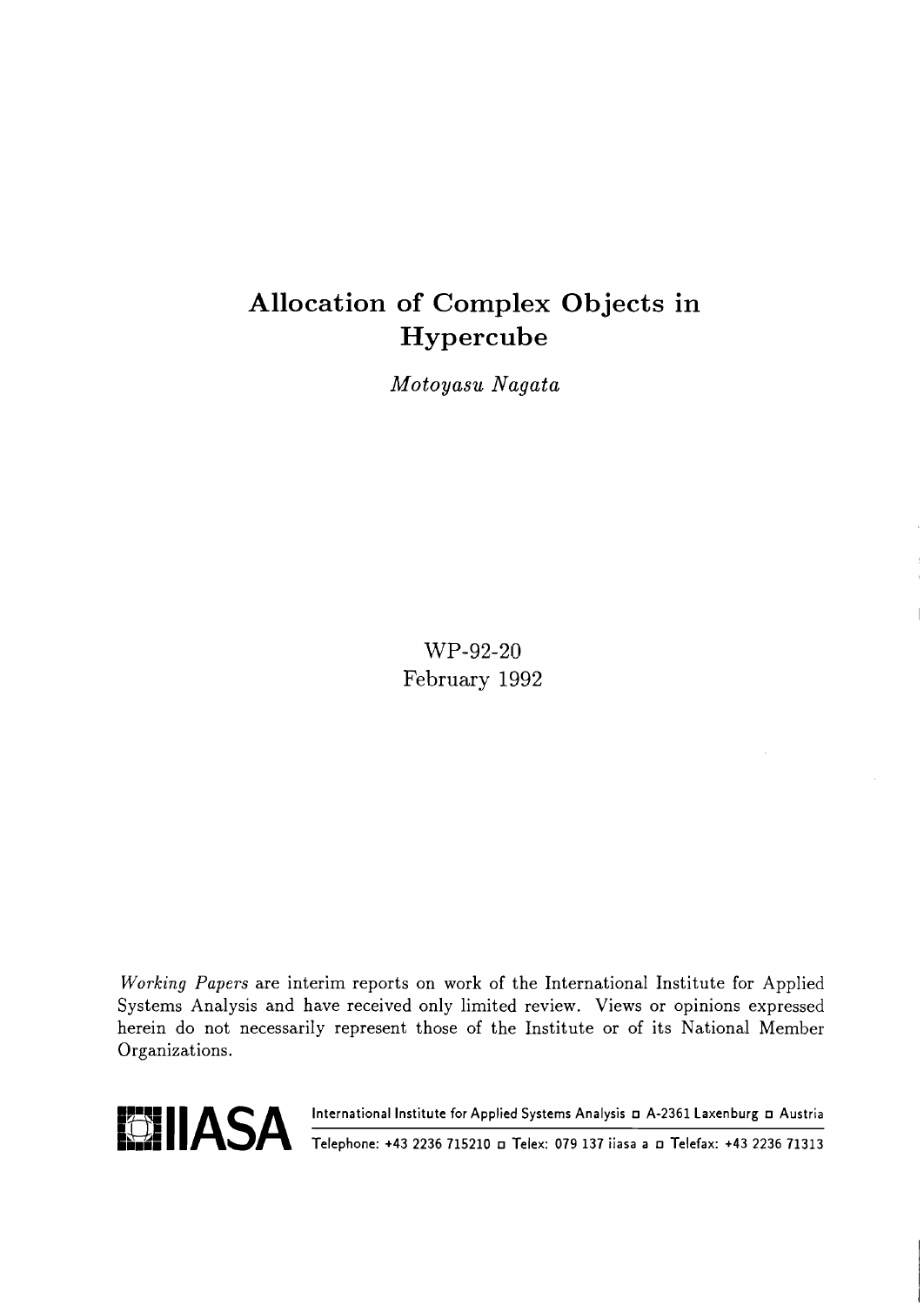# **Allocation of Complex Objects in Hypercube**

*Moto yasu Nagata* 

WP-92-20 February 1992

**Working** Papers are interim reports on work of the International Institute for Applied Systems Analysis and have received only limited review. Views or opinions expressed herein do not necessarily represent those of the Institute or of its National Member Organizations.



**Lom Telephone:** +43 2236 715210 a Telex: 079 137 iiasa a a Telefax: +43 2236 71313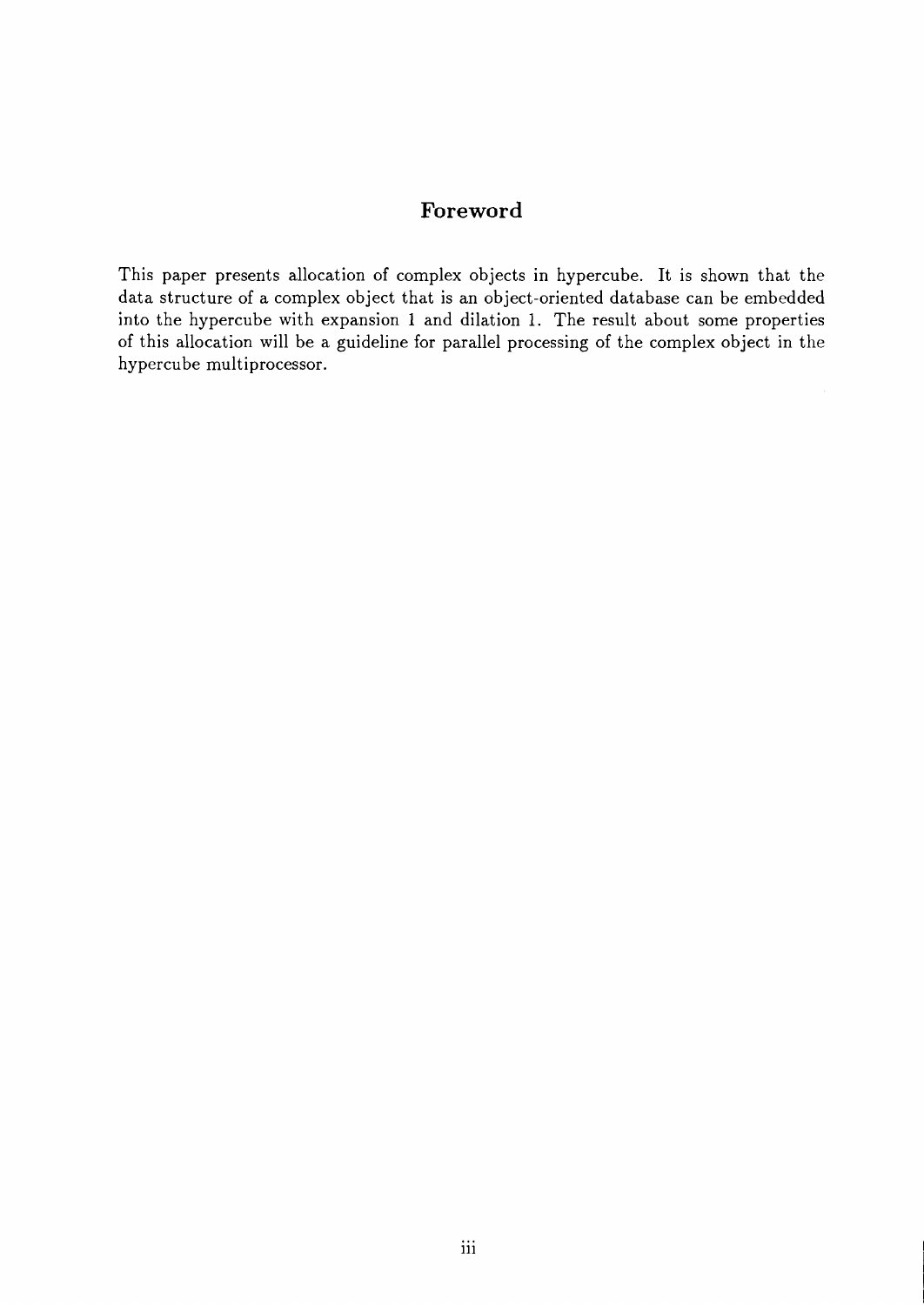# **Foreword**

This paper presents allocation of complex objects in hypercube. It is shown that the data structure of a complex object that is an object-oriented database can be embedded into the hypercube with expansion 1 and dilation 1. The result about some properties of this allocation will be a guideline for parallel processing of the complex object in the hypercube multiprocessor.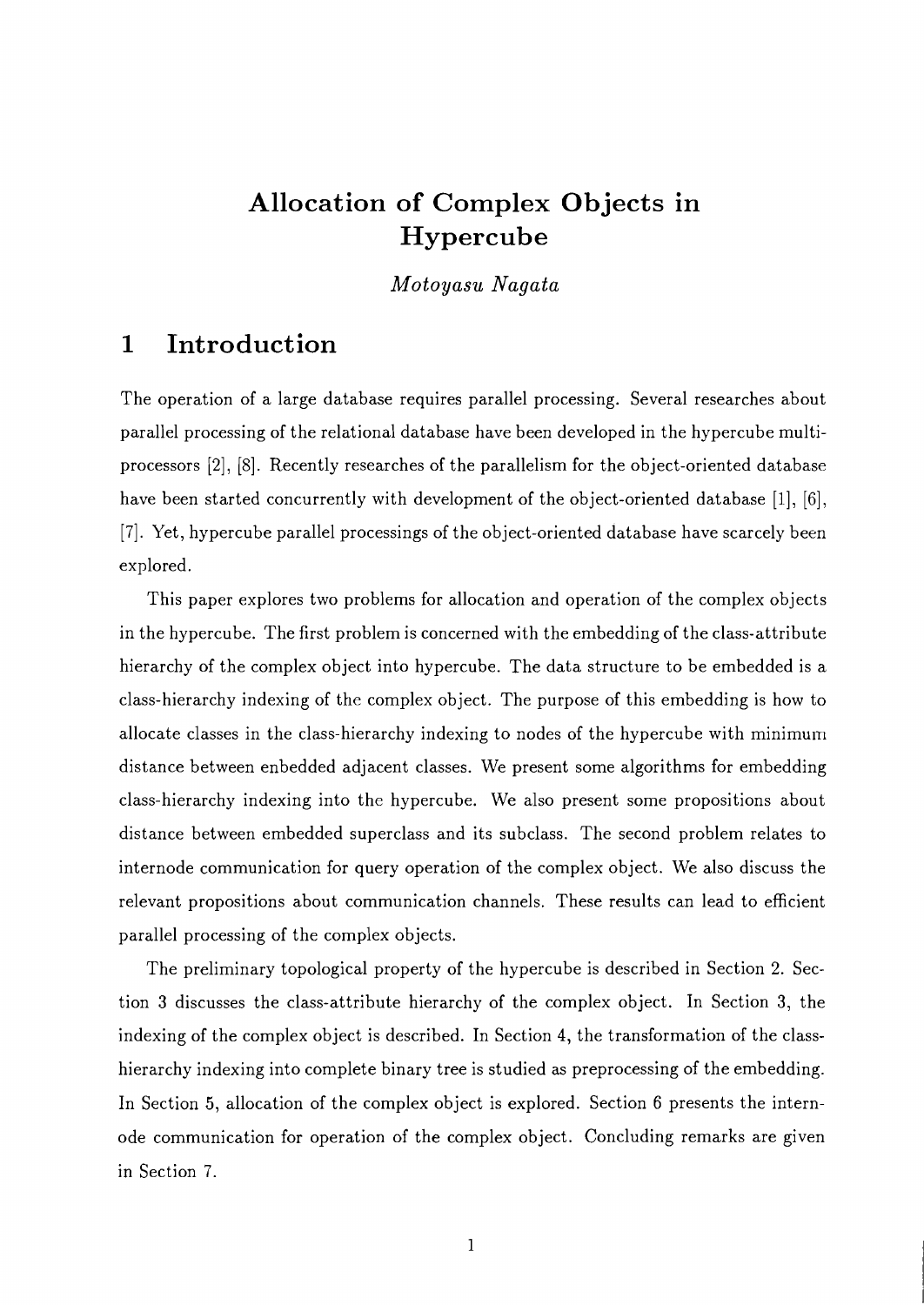# **Allocation of Complex Objects in Hypercube**

*Motoyasu Nagata* 

# **1 Introduction**

The operation of a large database requires parallel processing. Several researches about parallel processing of the relational database have been developed in the hypercube multiprocessors **[2], [8].** Recently researches of the parallelism for the object-oriented database have been started concurrently with development of the object-oriented database **[I.], [6], [7].** Yet, hypercube parallel processings of the object-oriented database have scarcely been explored.

This paper explores two problems for allocation and operation of the complex objects in the hypercube. The first problem is concerned with the embedding of the class-attribute hierarchy of the complex object into hypercube. The data structure to be embedded is a class-hierarchy indexing of the complex object. The purpose of this embedding is how to allocate classes in the class-hierarchy indexing to nodes of the hypercube with minimum distance between enbedded adjacent classes. We present some algorithms for embedding class-hierarchy indexing into the hypercube. We also present some propositions about distance between embedded superclass and its subclass. The second problem relates to internode communication for query operation of the complex object. We also discuss the relevant propositions about communication channels. These results can lead to efficient parallel processing of the complex objects.

The preliminary topological property of the hypercube is described in Section **2.** Section **3** discusses the class-attribute hierarchy of the complex object. In Section **3,** the indexing of the complex object is described. In Section 4, the transformation of the classhierarchy indexing into complete binary tree is studied as preprocessing of the embedding. In Section 5, allocation of the complex object is explored. Section 6 presents the internode communication for operation of the complex object. Concluding remarks are given in Section **7.**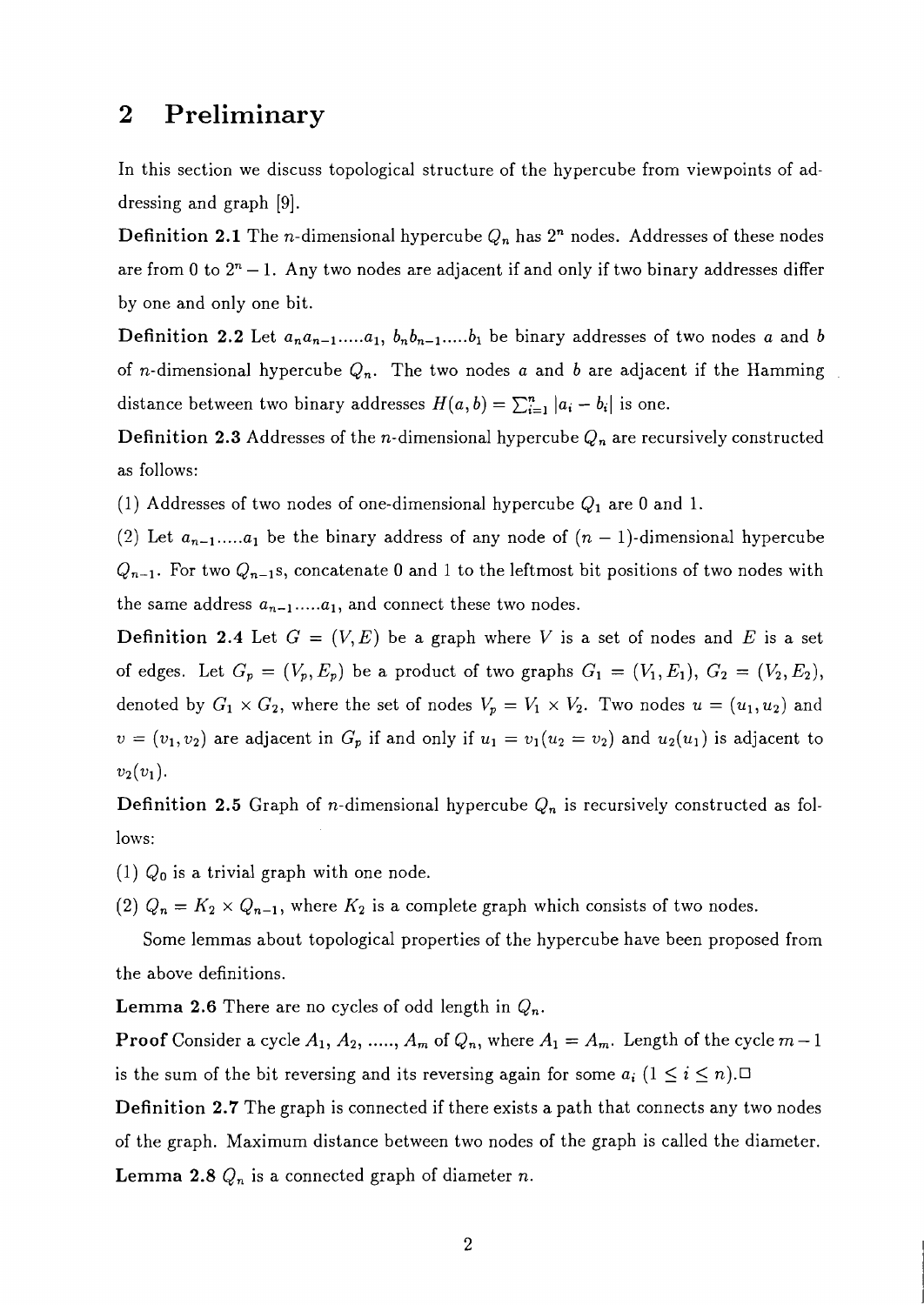# 2 Preliminary

In this section we discuss topological structure of the hypercube from viewpoints of addressing and graph [9].

**Definition 2.1** The *n*-dimensional hypercube  $Q_n$  has  $2^n$  nodes. Addresses of these nodes are from 0 to  $2^n - 1$ . Any two nodes are adjacent if and only if two binary addresses differ by one and only one bit.

**Definition 2.2** Let  $a_na_{n-1}$ ...... $a_1$ ,  $b_nb_{n-1}$ ...... $b_1$  be binary addresses of two nodes a and b of *n*-dimensional hypercube  $Q_n$ . The two nodes a and b are adjacent if the Hamming distance between two binary addresses  $H(a, b) = \sum_{i=1}^{n} |a_i - b_i|$  is one.

**Definition 2.3** Addresses of the *n*-dimensional hypercube  $Q_n$  are recursively constructed as follows:

(1) Addresses of two nodes of one-dimensional hypercube  $Q_1$  are 0 and 1.

(2) Let  $a_{n-1}$ ..... $a_1$  be the binary address of any node of  $(n-1)$ -dimensional hypercube  $Q_{n-1}$ . For two  $Q_{n-1}$ s, concatenate 0 and 1 to the leftmost bit positions of two nodes with the same address  $a_{n-1}$ ..... $a_1$ , and connect these two nodes.

**Definition 2.4** Let  $G = (V, E)$  be a graph where V is a set of nodes and E is a set of edges. Let  $G_p = (V_p, E_p)$  be a product of two graphs  $G_1 = (V_1, E_1), G_2 = (V_2, E_2),$ denoted by  $G_1 \times G_2$ , where the set of nodes  $V_p = V_1 \times V_2$ . Two nodes  $u = (u_1, u_2)$  and  $v = (v_1, v_2)$  are adjacent in  $G_p$  if and only if  $u_1 = v_1(u_2 = v_2)$  and  $u_2(u_1)$  is adjacent to  $v_2(v_1)$ .

**Definition 2.5** Graph of *n*-dimensional hypercube  $Q_n$  is recursively constructed as follows:

(1)  $Q_0$  is a trivial graph with one node.

(2)  $Q_n = K_2 \times Q_{n-1}$ , where  $K_2$  is a complete graph which consists of two nodes.

Some lemmas about topological properties of the hypercube have been proposed from the above definitions.

**Lemma 2.6** There are no cycles of odd length in  $Q_n$ .

**Proof** Consider a cycle  $A_1$ ,  $A_2$ , ....,  $A_m$  of  $Q_n$ , where  $A_1 = A_m$ . Length of the cycle  $m-1$ is the sum of the bit reversing and its reversing again for some  $a_i$   $(1 \le i \le n)$ .

Definition **2.7** The graph is connected if there exists a path that connects any two nodes of the graph. Maximum distance between two nodes of the graph is called the diameter. **Lemma 2.8**  $Q_n$  is a connected graph of diameter *n*.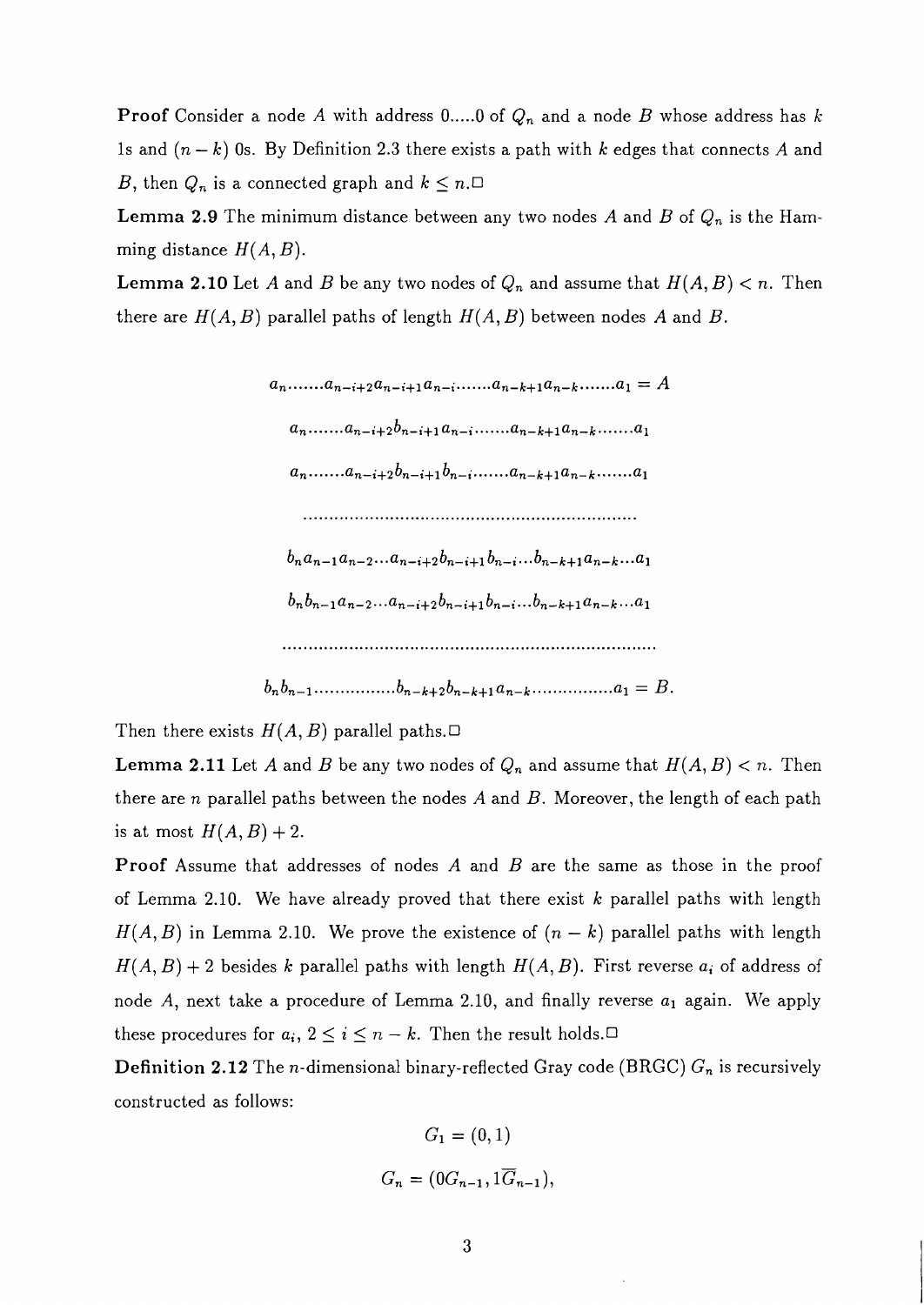**Proof** Consider a node A with address 0.....0 of  $Q_n$  and a node B whose address has k 1s and  $(n - k)$  0s. By Definition 2.3 there exists a path with k edges that connects A and B, then  $Q_n$  is a connected graph and  $k \leq n$ .<sup> $\Box$ </sup>

**Lemma 2.9** The minimum distance between any two nodes A and B of  $Q_n$  is the Hamming distance  $H(A, B)$ .

**Lemma 2.10** Let A and B be any two nodes of  $Q_n$  and assume that  $H(A, B) < n$ . Then there are  $H(A, B)$  parallel paths of length  $H(A, B)$  between nodes A and B.



Then there exists  $H(A, B)$  parallel paths.

**Lemma 2.11** Let A and B be any two nodes of  $Q_n$  and assume that  $H(A, B) < n$ . Then there are n parallel paths between the nodes  $A$  and  $B$ . Moreover, the length of each path is at most  $H(A, B) + 2$ .

**Proof** Assume that addresses of nodes A and B are the same as those in the proof of Lemma 2.10. We have already proved that there exist  $k$  parallel paths with length  $H(A, B)$  in Lemma 2.10. We prove the existence of  $(n - k)$  parallel paths with length  $H(A, B) + 2$  besides k parallel paths with length  $H(A, B)$ . First reverse  $a_i$  of address of node A, next take a procedure of Lemma 2.10, and finally reverse  $a_1$  again. We apply these procedures for  $a_i$ ,  $2 \le i \le n - k$ . Then the result holds.<sup> $\Box$ </sup>

**Definition 2.12** The n-dimensional binary-reflected Gray code (BRGC) *G,* is recursively constructed as follows:

$$
G_1 = (0, 1)
$$
  

$$
G_n = (0G_{n-1}, 1\overline{G}_{n-1}),
$$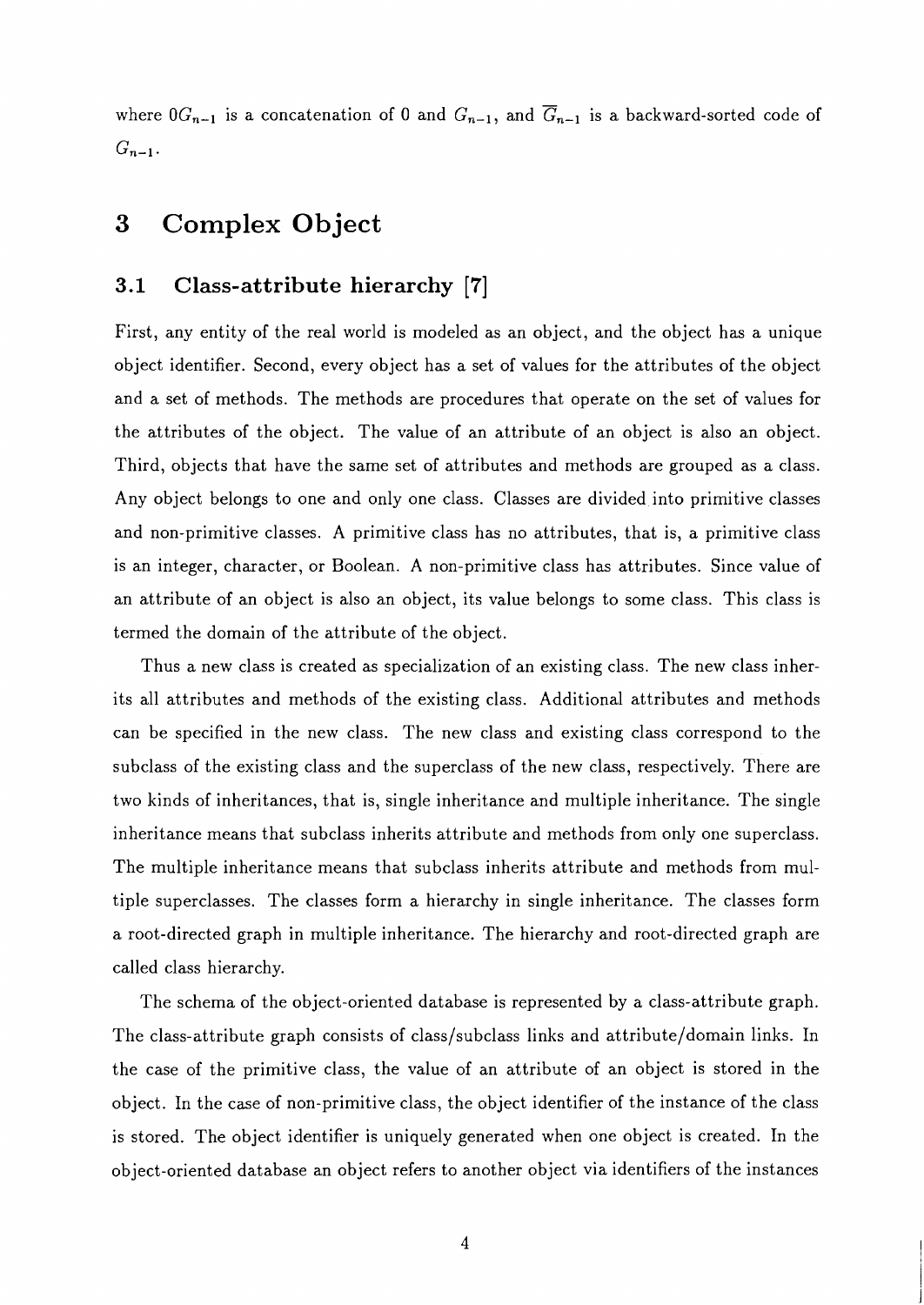where  $0G_{n-1}$  is a concatenation of 0 and  $G_{n-1}$ , and  $\overline{G}_{n-1}$  is a backward-sorted code of  $G_{n-1}$ .

# **3 Complex Object**

### **3.1 Class-attribute hierarchy [7]**

First, any entity of the real world is modeled as an object, and the object has a unique object identifier. Second, every object has a set of values for the attributes of the object and a set of methods. The methods are procedures that operate on the set of values for the attributes of the object. The value of an attribute of an object is also an object. Third, objects that have the same set of attributes and methods are grouped as a class. Any object belongs to one and only one class. Classes are divided into primitive classes and non-primitive classes. A primitive class has no attributes, that is, a primitive class is an integer, character, or Boolean. A non-primitive class has attributes. Since value of an attribute of an object is also an object, its value belongs to some class. This class is termed the domain of the attribute of the object.

Thus a new class is created as specialization of an existing class. The new class inherits all attributes and methods of the existing class. Additional attributes and methods can be specified in the new class. The new class and existing class correspond to the subclass of the existing class and the superclass of the new class, respectively. There are two kinds of inheritances, that is, single inheritance and multiple inheritance. The single inheritance means that subclass inherits attribute and methods from only one superclass. The multiple inheritance means that subclass inherits attribute and methods from multiple superclasses. The classes form a hierarchy in single inheritance. The classes form a root-directed graph in multiple inheritance. The hierarchy and root-directed graph are called class hierarchy.

The schema of the object-oriented database is represented by a class-attribute graph. The class-attribute graph consists of class/subclass links and attribute/domain links. In the case of the primitive class, the value of an attribute of an object is stored in the object. In the case of non-primitive class, the object identifier of the instance of the class is stored. The object identifier is uniquely generated when one object is created. In the object-oriented database an object refers to another object via identifiers of the instances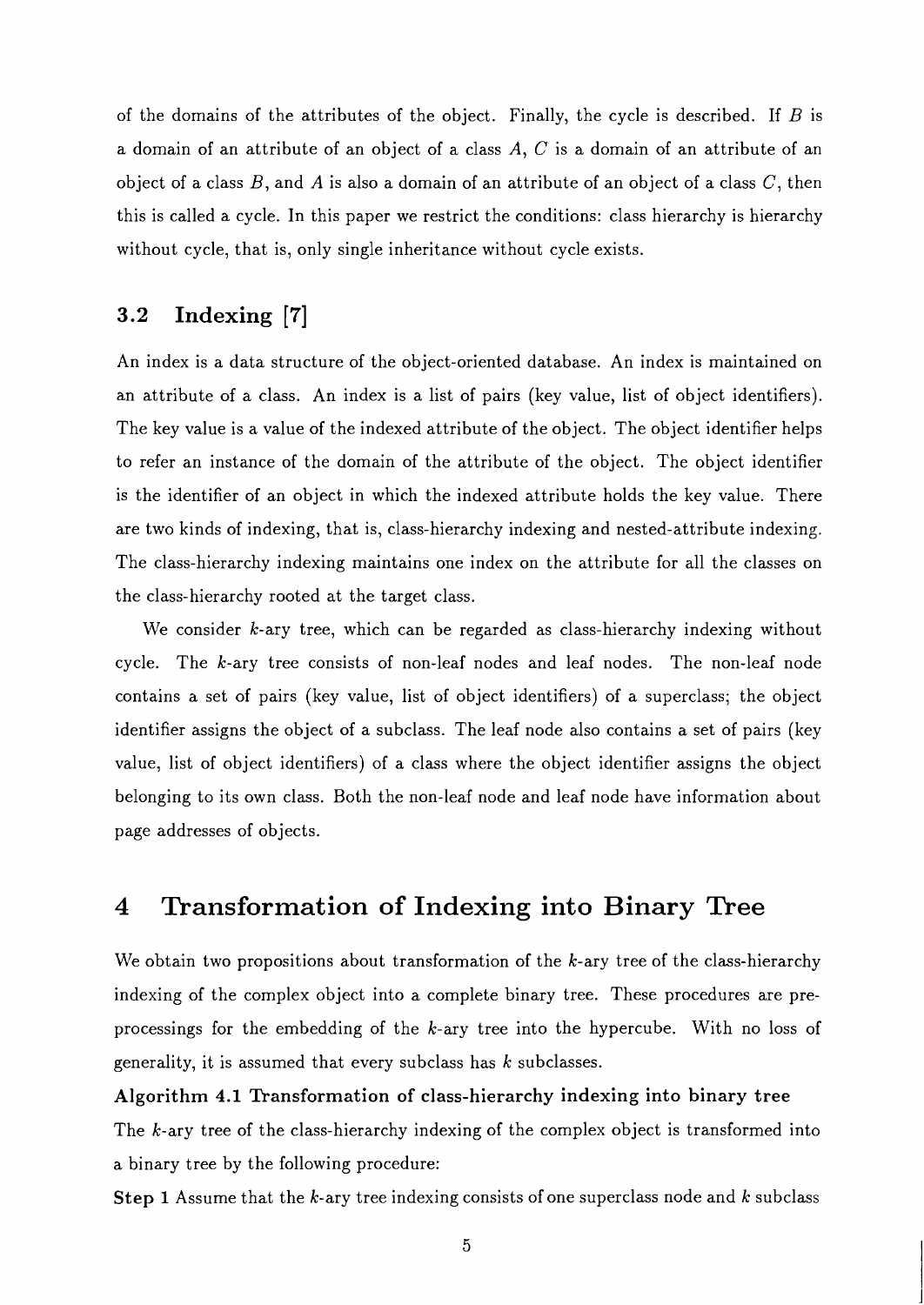of the domains of the attributes of the object. Finally, the cycle is described. If  $B$  is a domain of an attribute of an object of a class  $A, C$  is a domain of an attribute of an object of a class  $B$ , and  $A$  is also a domain of an attribute of an object of a class  $C$ , then this is called a cycle. In this paper we restrict the conditions: class hierarchy is hierarchy without cycle, that is, only single inheritance without cycle exists.

# **3.2 Indexing [7]**

An index is a data structure of the object-oriented database. An index is maintained on an attribute of a class. An index is a list of pairs (key value, list of object identifiers). The key value is a value of the indexed attribute of the object. The object identifier helps to refer an instance of the domain of the attribute of the object. The object identifier is the identifier of an object in which the indexed attribute holds the key value. There are two kinds of indexing, that is, class-hierarchy indexing and nested-attribute indexing. The class-hierarchy indexing maintains one index on the attribute for all the classes on the class-hierarchy rooted at the target class.

We consider k-ary tree, which can be regarded as class-hierarchy indexing without cycle. The k-ary tree consists of non-leaf nodes and leaf nodes. The non-leaf node contains a set of pairs (key value, list of object identifiers) of a superclass; the object identifier assigns the object of a subclass. The leaf node also contains a set of pairs (key value, list of object identifiers) of a class where the object identifier assigns the object belonging to its own class. Both the non-leaf node and leaf node have information about page addresses of objects.

#### 4 **Transformation of Indexing into Binary Tree**

We obtain two propositions about transformation of the  $k$ -ary tree of the class-hierarchy indexing of the complex object into a complete binary tree. These procedures are preprocessings for the embedding of the k-ary tree into the hypercube. With no loss of generality, it is assumed that every subclass has  $k$  subclasses.

# **Algorithm** 4.1 **Transformation of class-hierarchy indexing into binary tree**  The k-ary tree of the class-hierarchy indexing of the complex object is transformed into

a binary tree by the following procedure:

**Step** 1 Assume that the k-ary tree indexing consists of one superclass node and k subclass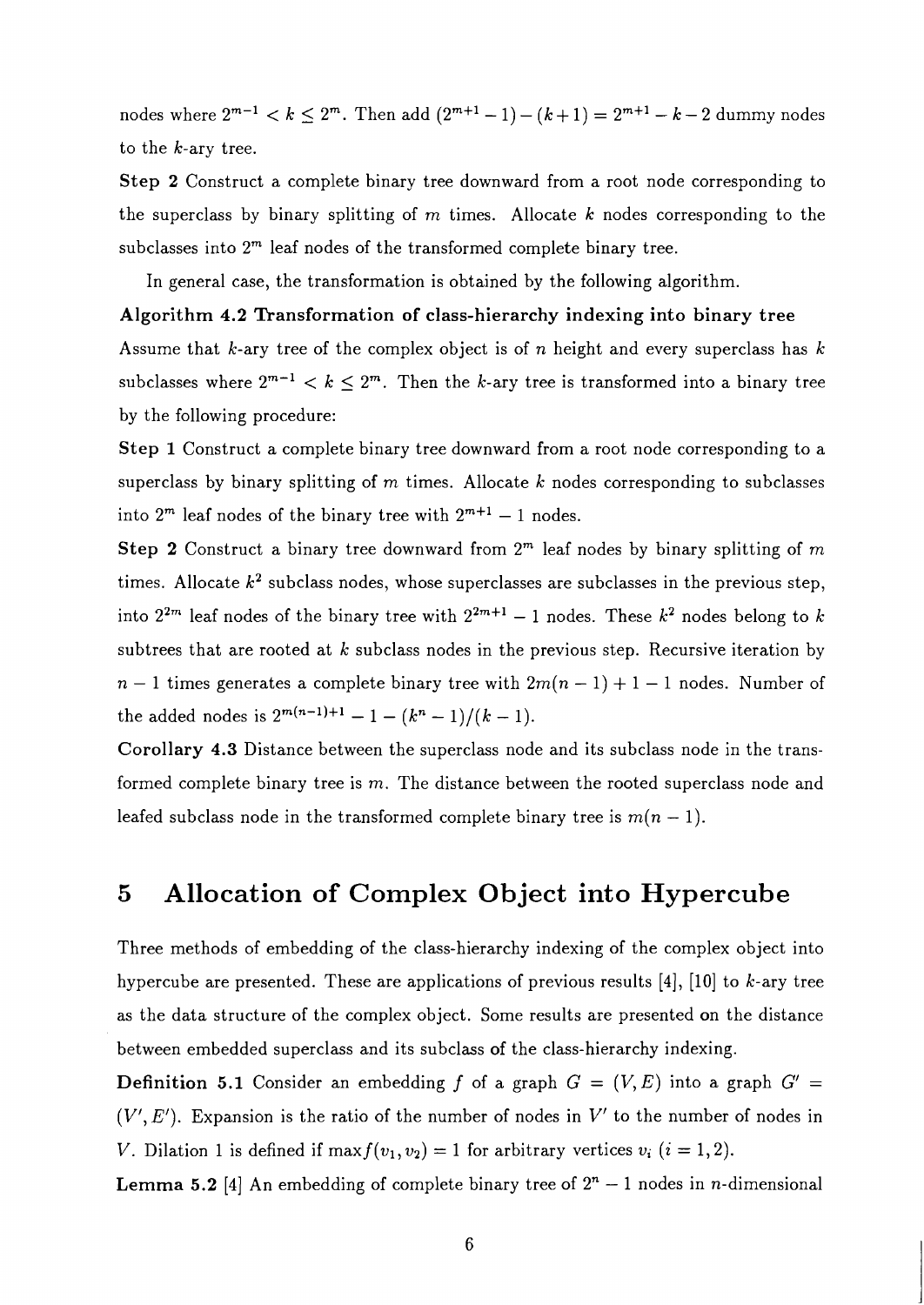nodes where  $2^{m-1} < k \le 2^m$ . Then add  $(2^{m+1}-1)-(k+1) = 2^{m+1}-k-2$  dummy nodes to the k-ary tree.

Step 2 Construct a complete binary tree downward from a root node corresponding to the superclass by binary splitting of  $m$  times. Allocate  $k$  nodes corresponding to the subclasses into  $2<sup>m</sup>$  leaf nodes of the transformed complete binary tree.

In general case, the transformation is obtained by the following algorithm.

## Algorithm **4.2** Transformation of class-hierarchy indexing into binary tree

Assume that k-ary tree of the complex object is of n height and every superclass has  $k$ subclasses where  $2^{m-1} < k \leq 2^m$ . Then the k-ary tree is transformed into a binary tree by the following procedure:

Step **1** Construct a complete binary tree downward from a root node corresponding to a superclass by binary splitting of  $m$  times. Allocate  $k$  nodes corresponding to subclasses into  $2^m$  leaf nodes of the binary tree with  $2^{m+1} - 1$  nodes.

Step 2 Construct a binary tree downward from  $2<sup>m</sup>$  leaf nodes by binary splitting of  $m$ times. Allocate  $k^2$  subclass nodes, whose superclasses are subclasses in the previous step, into  $2^{2m}$  leaf nodes of the binary tree with  $2^{2m+1} - 1$  nodes. These  $k^2$  nodes belong to k subtrees that are rooted at  $k$  subclass nodes in the previous step. Recursive iteration by  $n-1$  times generates a complete binary tree with  $2m(n-1) + 1 - 1$  nodes. Number of the added nodes is  $2^{m(n-1)+1} - 1 - (k^n - 1)/(k - 1)$ .

Corollary **4.3** Distance between the superclass node and its subclass node in the transformed complete binary tree is m. The distance between the rooted superclass node and leafed subclass node in the transformed complete binary tree is  $m(n - 1)$ .

#### **Allocation of Complex Object into Hypercube**   $\overline{5}$

Three methods of embedding of the class-hierarchy indexing of the complex object into hypercube are presented. These are applications of previous results  $[4]$ ,  $[10]$  to k-ary tree as the data structure of the complex object. Some results are presented on the distance between embedded superclass and its subclass of the class-hierarchy indexing.

**Definition 5.1** Consider an embedding f of a graph  $G = (V, E)$  into a graph  $G' =$  $(V', E')$ . Expansion is the ratio of the number of nodes in V' to the number of nodes in V. Dilation 1 is defined if max $f(v_1, v_2) = 1$  for arbitrary vertices  $v_i$   $(i = 1, 2)$ .

**Lemma 5.2** [4] An embedding of complete binary tree of  $2<sup>n</sup> - 1$  nodes in *n*-dimensional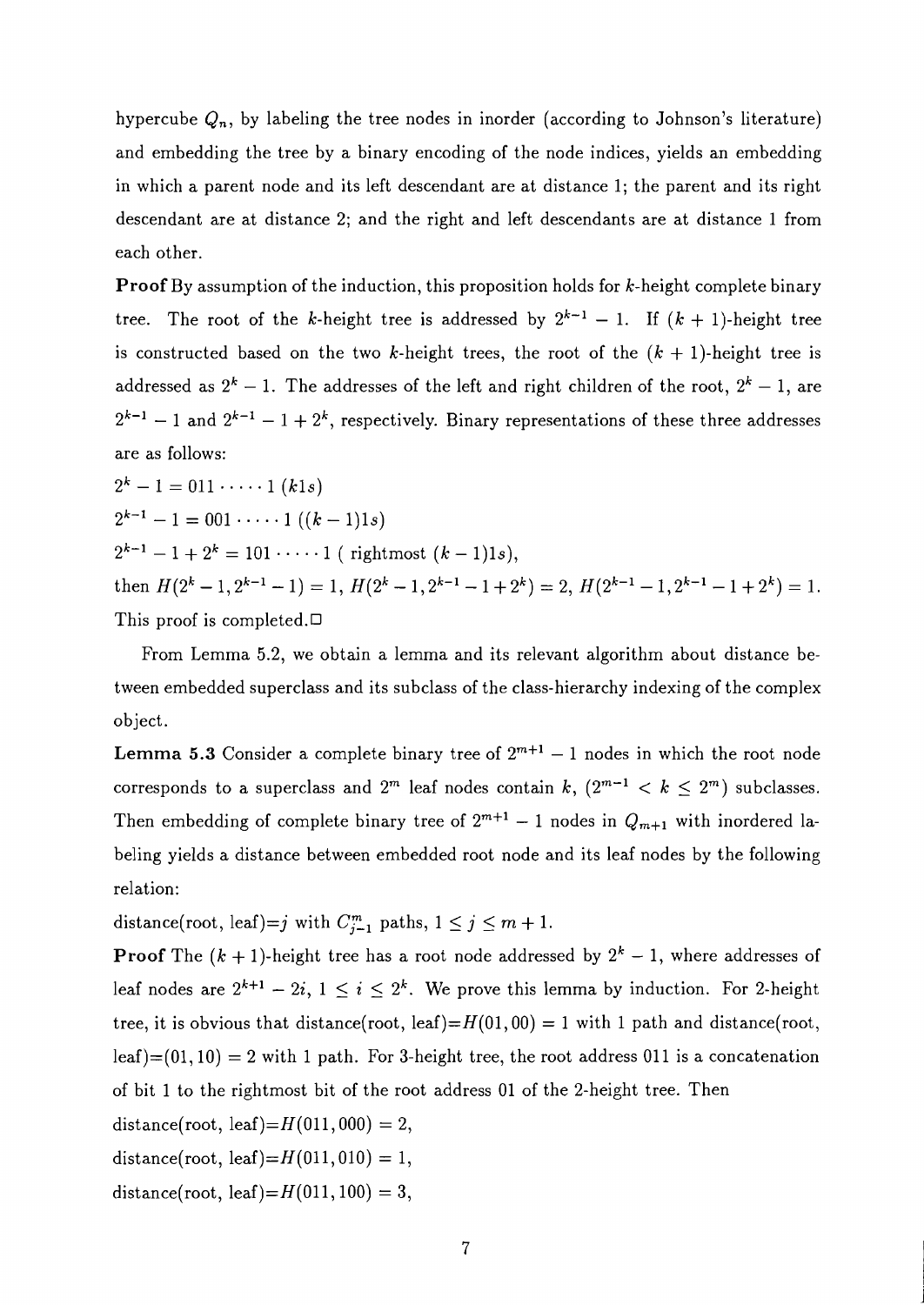hypercube  $Q_n$ , by labeling the tree nodes in inorder (according to Johnson's literature) and embedding the tree by a binary encoding of the node indices, yields an embedding in which a parent node and its left descendant are at distance 1; the parent and its right descendant are at distance 2; and the right and left descendants are at distance 1 from each other.

**Proof** By assumption of the induction, this proposition holds for k-height complete binary tree. The root of the k-height tree is addressed by  $2^{k-1} - 1$ . If  $(k + 1)$ -height tree is constructed based on the two k-height trees, the root of the  $(k + 1)$ -height tree is addressed as  $2^k - 1$ . The addresses of the left and right children of the root,  $2^k - 1$ , are  $2^{k-1} - 1$  and  $2^{k-1} - 1 + 2^k$ , respectively. Binary representations of these three addresses are as follows:

 $2^k-1=011 \cdots 1$  (kls)  $2^{k-1} - 1 = 001 \cdots 1$   $((k-1)1s)$  $2^{k-1} - 1 + 2^k = 101 \cdots 1$  (rightmost  $(k-1)1s$ ), then  $H(2^{k}-1, 2^{k-1}-1) = 1$ ,  $H(2^{k}-1, 2^{k-1}-1+2^{k}) = 2$ ,  $H(2^{k-1}-1, 2^{k-1}-1+2^{k}) = 1$ . This proof is completed. $\Box$ 

From Lemma 5.2, we obtain a lemma and its relevant algorithm about distance between embedded superclass and its subclass of the class-hierarchy indexing of the complex object.

**Lemma 5.3** Consider a complete binary tree of  $2^{m+1} - 1$  nodes in which the root node corresponds to a superclass and  $2^m$  leaf nodes contain k,  $(2^{m-1} < k \leq 2^m)$  subclasses. Then embedding of complete binary tree of  $2^{m+1} - 1$  nodes in  $Q_{m+1}$  with inordered labeling yields a distance between embedded root node and its leaf nodes by the following relation:

distance(root, leaf)=j with  $C_{j-1}^m$  paths,  $1 \le j \le m+1$ .

**Proof** The  $(k + 1)$ -height tree has a root node addressed by  $2<sup>k</sup> - 1$ , where addresses of leaf nodes are  $2^{k+1} - 2i$ ,  $1 \leq i \leq 2^k$ . We prove this lemma by induction. For 2-height tree, it is obvious that distance(root, leaf)= $H(01, 00) = 1$  with 1 path and distance(root,  $\text{leaf}(01, 10) = 2$  with 1 path. For 3-height tree, the root address 011 is a concatenation of bit 1 to the rightmost bit of the root address 01 of the 2-height tree. Then distance(root, leaf)= $H(011, 000) = 2$ ,

distance(root, leaf)= $H(011,010) = 1$ ,

distance(root, leaf)= $H(011, 100) = 3$ ,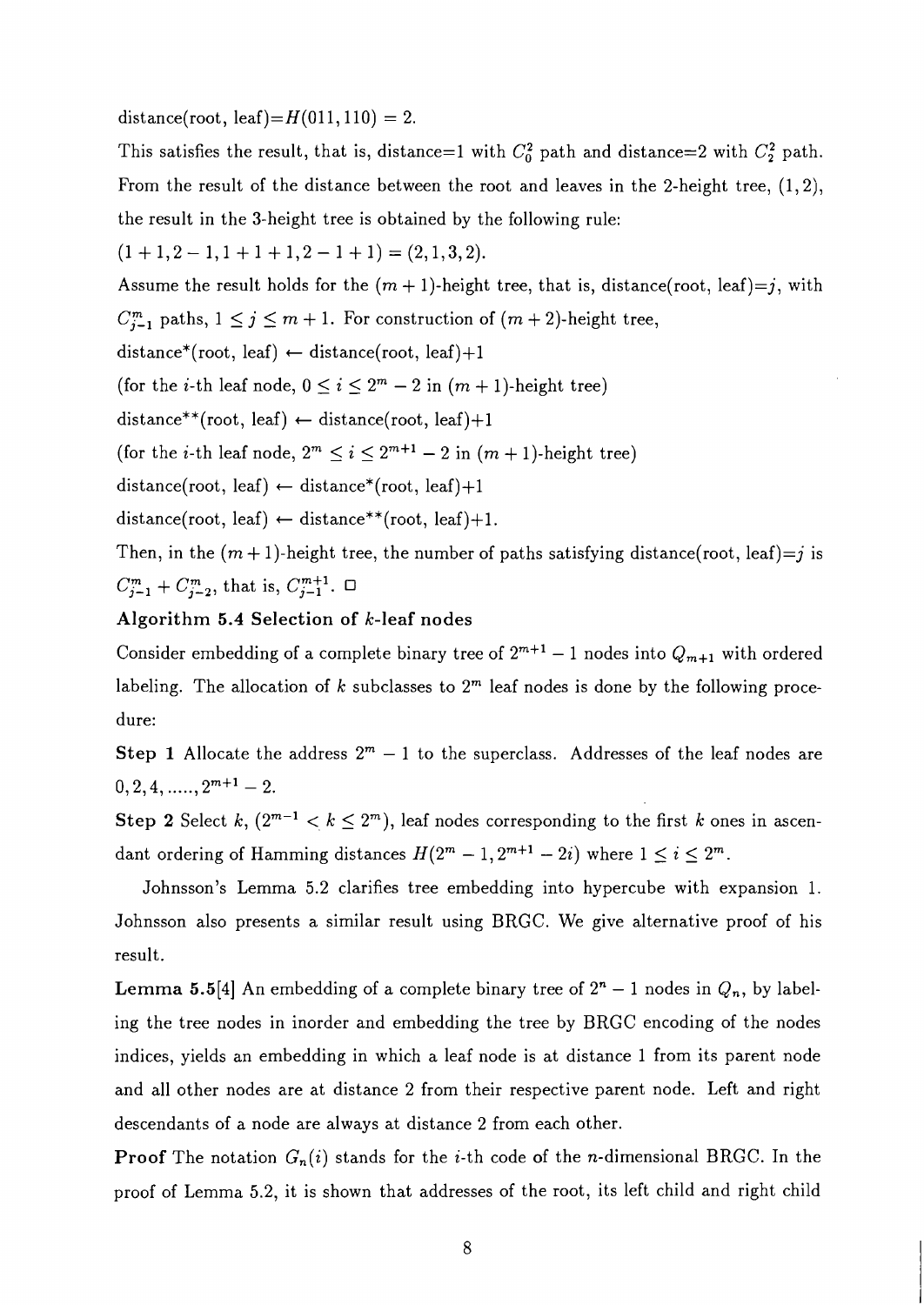distance(root, leaf)= $H(011,110) = 2$ .

This satisfies the result, that is, distance=1 with  $C_0^2$  path and distance=2 with  $C_2^2$  path. From the result of the distance between the root and leaves in the 2-height tree, (1,2), the result in the 3-height tree is obtained by the following rule:

 $(1+1,2-1,1+1+1,2-1+1) = (2,1,3,2).$ 

Assume the result holds for the  $(m + 1)$ -height tree, that is, distance(root, leaf)=j, with

 $C_{j-1}^m$  paths,  $1 \leq j \leq m+1$ . For construction of  $(m+2)$ -height tree,

distance\*(root, leaf)  $\leftarrow$  distance(root, leaf)+1

(for the *i*-th leaf node,  $0 \le i \le 2^m - 2$  in  $(m + 1)$ -height tree)

distance\*\*(root, leaf)  $\leftarrow$  distance(root, leaf)+1

(for the *i*-th leaf node,  $2^m \le i \le 2^{m+1} - 2$  in  $(m + 1)$ -height tree)

distance(root, leaf)  $\leftarrow$  distance\*(root, leaf)+1

distance(root, leaf)  $\leftarrow$  distance\*\*(root, leaf)+1.

Then, in the  $(m+1)$ -height tree, the number of paths satisfying distance(root, leaf)=j is  $C_{j-1}^m + C_{j-2}^m$ , that is,  $C_{j-1}^{m+1}$ .  $\Box$ 

### Algorithm 5.4 Selection of k-leaf nodes

Consider embedding of a complete binary tree of  $2^{m+1} - 1$  nodes into  $Q_{m+1}$  with ordered labeling. The allocation of k subclasses to  $2<sup>m</sup>$  leaf nodes is done by the following procedure:

**Step 1** Allocate the address  $2^m - 1$  to the superclass. Addresses of the leaf nodes are  $0, 2, 4, \ldots, 2^{m+1} - 2.$ 

Step 2 Select k,  $(2^{m-1} < k \leq 2^m)$ , leaf nodes corresponding to the first k ones in ascendant ordering of Hamming distances  $H(2^m - 1, 2^{m+1} - 2i)$  where  $1 \le i \le 2^m$ .

Johnsson's Lemma 5.2 clarifies tree embedding into hypercube with expansion 1. Johnsson also presents a similar result using BRGC. We give alternative proof of his result.

**Lemma 5.5**[4] An embedding of a complete binary tree of  $2<sup>n</sup> - 1$  nodes in  $Q_n$ , by labeling the tree nodes in inorder and embedding the tree by BRGC encoding of the nodes indices, yields an embedding in which a leaf node is at distance 1 from its parent node and all other nodes are at distance 2 from their respective parent node. Left and right descendants of a node are always at distance 2 from each other.

**Proof** The notation  $G_n(i)$  stands for the *i*-th code of the *n*-dimensional BRGC. In the proof of Lemma 5.2, it is shown that addresses of the root, its left child and right child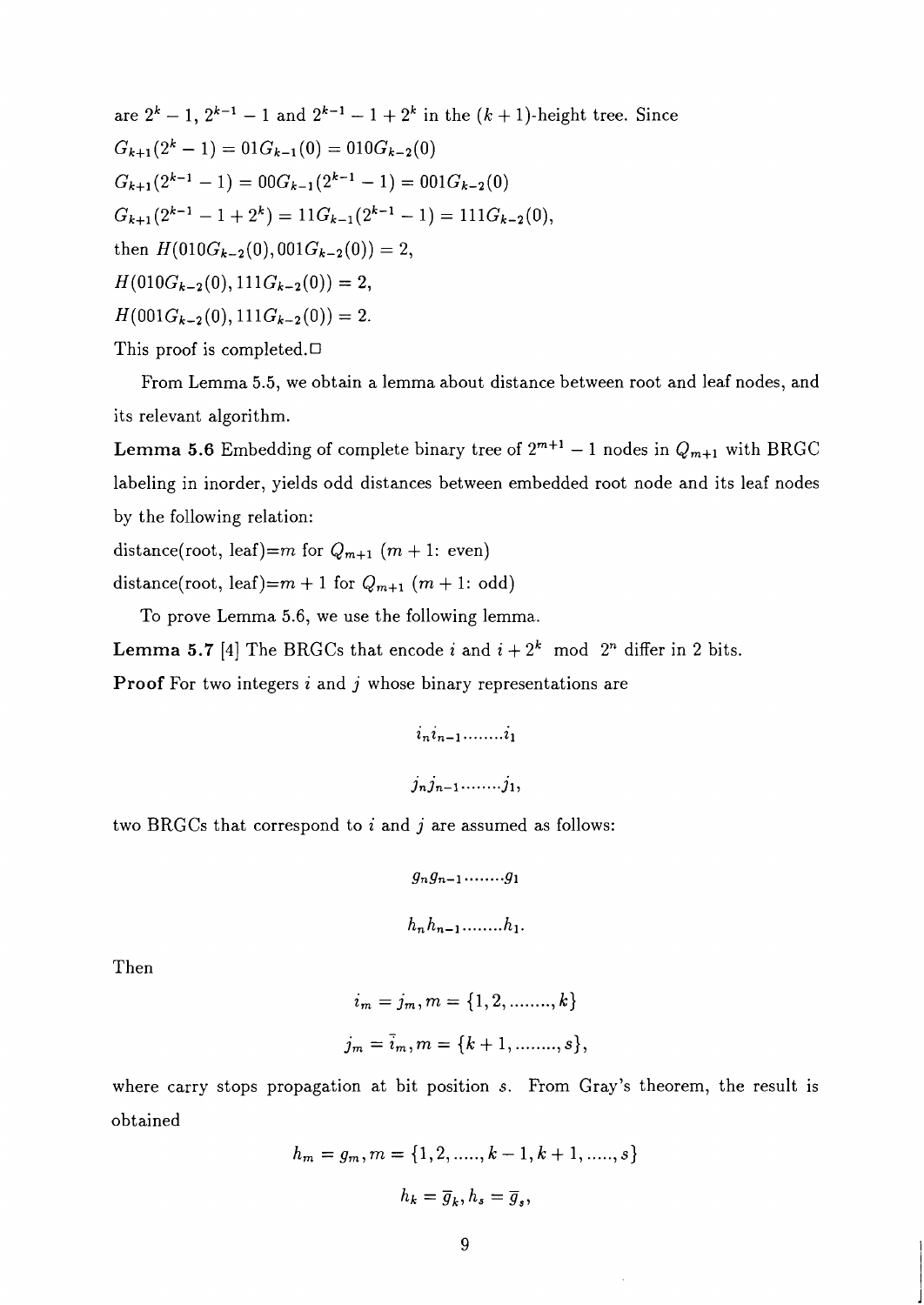are  $2^{k} - 1$ ,  $2^{k-1} - 1$  and  $2^{k-1} - 1 + 2^{k}$  in the  $(k + 1)$ -height tree. Since  $G_{k+1} (2^k - 1) = 01 G_{k-1} (0) = 010 G_{k-2} (0)$  $G_{k+1}(2^{k-1} - 1) = 00G_{k-1}(2^{k-1} - 1) = 001G_{k-2}(0)$  $G_{k+1}(2^{k-1} - 1 + 2^k) = 11G_{k-1}(2^{k-1} - 1) = 111G_{k-2}(0),$ then  $H(010G_{k-2}(0), 001G_{k-2}(0)) = 2$ ,  $H(010G_{k-2}(0), 111G_{k-2}(0)) = 2$ ,  $H(001G_{k-2}(0), 111G_{k-2}(0)) = 2.$ This proof is completed. $\Box$ 

From Lemma 5.5, we obtain a lemma about distance between root and leaf nodes, and

its relevant algorithm.

**Lemma 5.6** Embedding of complete binary tree of  $2^{m+1} - 1$  nodes in  $Q_{m+1}$  with BRGC labeling in inorder, yields odd distances between embedded root node and its leaf nodes by the following relation:

distance(root, leaf)=m for  $Q_{m+1}$  (m + 1: even)

distance(root, leaf)= $m + 1$  for  $Q_{m+1}$   $(m + 1:$  odd)

To prove Lemma 5.6, we use the following lemma.

**Lemma 5.7** [4] The BRGCs that encode i and  $i + 2^k$  mod  $2^n$  differ in 2 bits. **Proof** For two integers  $i$  and  $j$  whose binary representations are

two BRGCs that correspond to  $i$  and  $j$  are assumed as follows:

$$
g_ng_{n-1},\ldots\dots g_1
$$

Then

$$
i_m = j_m, m = \{1, 2, \dots, k\}
$$
  

$$
j_m = \bar{i}_m, m = \{k+1, \dots, s\},
$$

where carry stops propagation at bit position s. From Gray's theorem, the result is obtained

$$
h_m = g_m, m = \{1, 2, \dots, k - 1, k + 1, \dots, s\}
$$

$$
h_k = \overline{g}_k, h_s = \overline{g}_s,
$$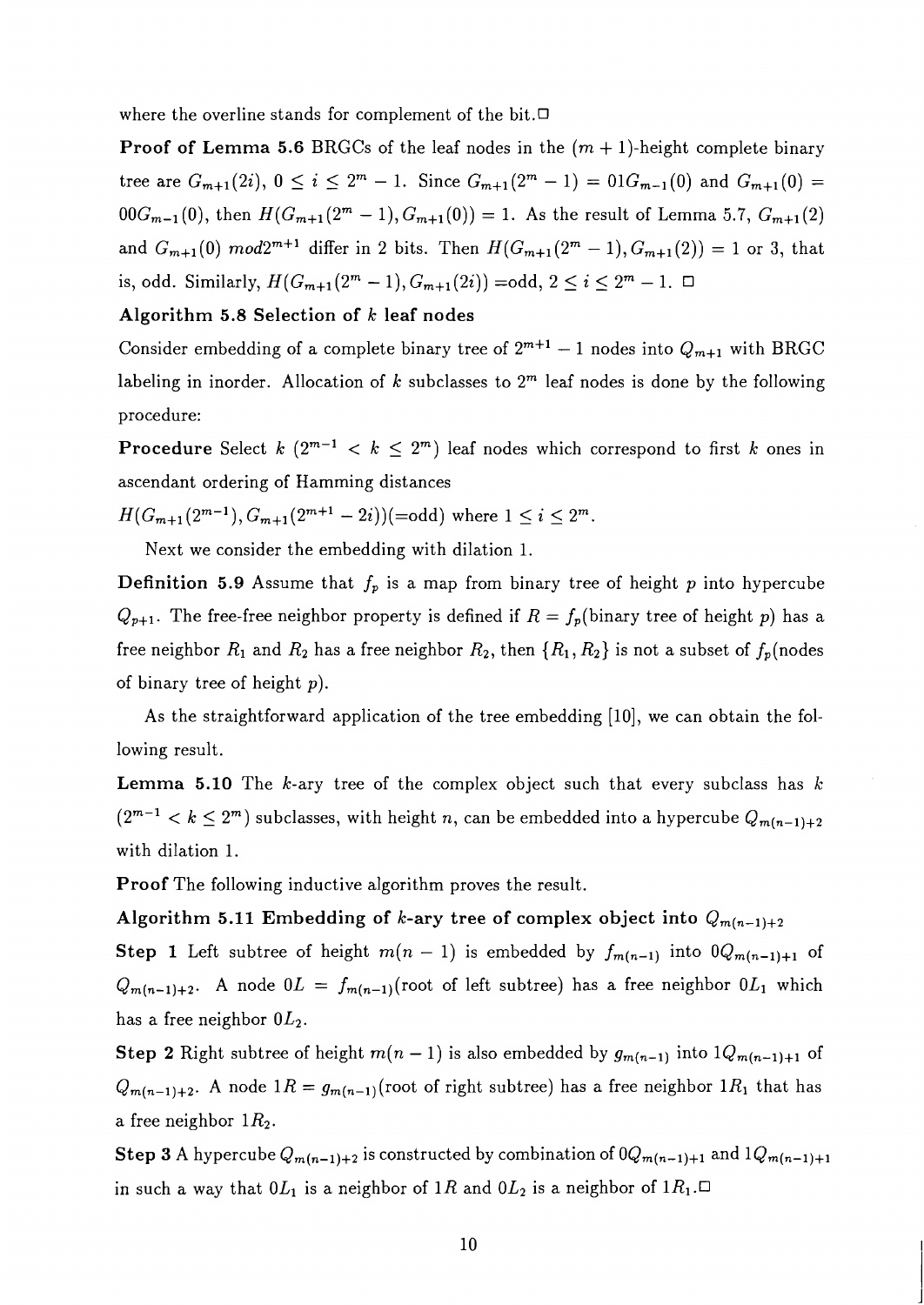where the overline stands for complement of the bit. $\Box$ 

**Proof of Lemma 5.6** BRGCs of the leaf nodes in the  $(m + 1)$ -height complete binary tree are  $G_{m+1}(2i)$ ,  $0 \le i \le 2^m - 1$ . Since  $G_{m+1}(2^m - 1) = 01G_{m-1}(0)$  and  $G_{m+1}(0) =$  $00G_{m-1}(0)$ , then  $H(G_{m+1}(2^m-1),G_{m+1}(0)) = 1$ . As the result of Lemma 5.7,  $G_{m+1}(2)$ and  $G_{m+1}(0) \mod 2^{m+1}$  differ in 2 bits. Then  $H(G_{m+1}(2^m-1), G_{m+1}(2)) = 1$  or 3, that is, odd. Similarly,  $H(G_{m+1}(2^m - 1), G_{m+1}(2i)) = \text{odd}, 2 \le i \le 2^m - 1. \square$ 

### **Algorithm 5.8 Selection of** k **leaf nodes**

Consider embedding of a complete binary tree of  $2^{m+1} - 1$  nodes into  $Q_{m+1}$  with BRGC labeling in inorder. Allocation of  $k$  subclasses to  $2<sup>m</sup>$  leaf nodes is done by the following procedure:

**Procedure** Select k  $(2^{m-1} < k \leq 2^m)$  leaf nodes which correspond to first k ones in ascendant ordering of Hamming distances

 $H(G_{m+1}(2^{m-1}), G_{m+1}(2^{m+1}-2i))$  (=odd) where  $1 \leq i \leq 2^m$ .

Next we consider the embedding with dilation 1.

**Definition 5.9** Assume that  $f_p$  is a map from binary tree of height p into hypercube  $Q_{p+1}$ . The free-free neighbor property is defined if  $R = f_p(\text{binary tree of height } p)$  has a free neighbor  $R_1$  and  $R_2$  has a free neighbor  $R_2$ , then  $\{R_1, R_2\}$  is not a subset of  $f_p(\text{nodes}$ of binary tree of height  $p$ ).

As the straightforward application of the tree embedding [10], we can obtain the following result.

**Lemma 5.10** The k-ary tree of the complex object such that every subclass has *<sup>E</sup>*  $(2^{m-1} < k \leq 2^m)$  subclasses, with height n, can be embedded into a hypercube  $Q_{m(n-1)+2}$ with dilation 1.

**Proof** The following inductive algorithm proves the result.

### **Algorithm 5.11 Embedding of k-ary tree of complex object into**  $Q_{m(n-1)+2}$

**Step 1** Left subtree of height  $m(n - 1)$  is embedded by  $f_{m(n-1)}$  into  $0Q_{m(n-1)+1}$  of  $Q_{m(n-1)+2}$ . A node  $0L = f_{m(n-1)}(\text{root of left subtree})$  has a free neighbor  $0L_1$  which has a free neighbor  $0L_2$ .

**Step 2** Right subtree of height  $m(n-1)$  is also embedded by  $g_{m(n-1)}$  into  $lQ_{m(n-1)+1}$  of  $Q_{m(n-1)+2}$ . A node  $1R = g_{m(n-1)}$ (root of right subtree) has a free neighbor  $1R_1$  that has a free neighbor  $1R_2$ .

**Step 3** A hypercube  $Q_{m(n-1)+2}$  is constructed by combination of  $0Q_{m(n-1)+1}$  and  $1Q_{m(n-1)+1}$ in such a way that  $0L_1$  is a neighbor of 1R and  $0L_2$  is a neighbor of  $1R_1$ .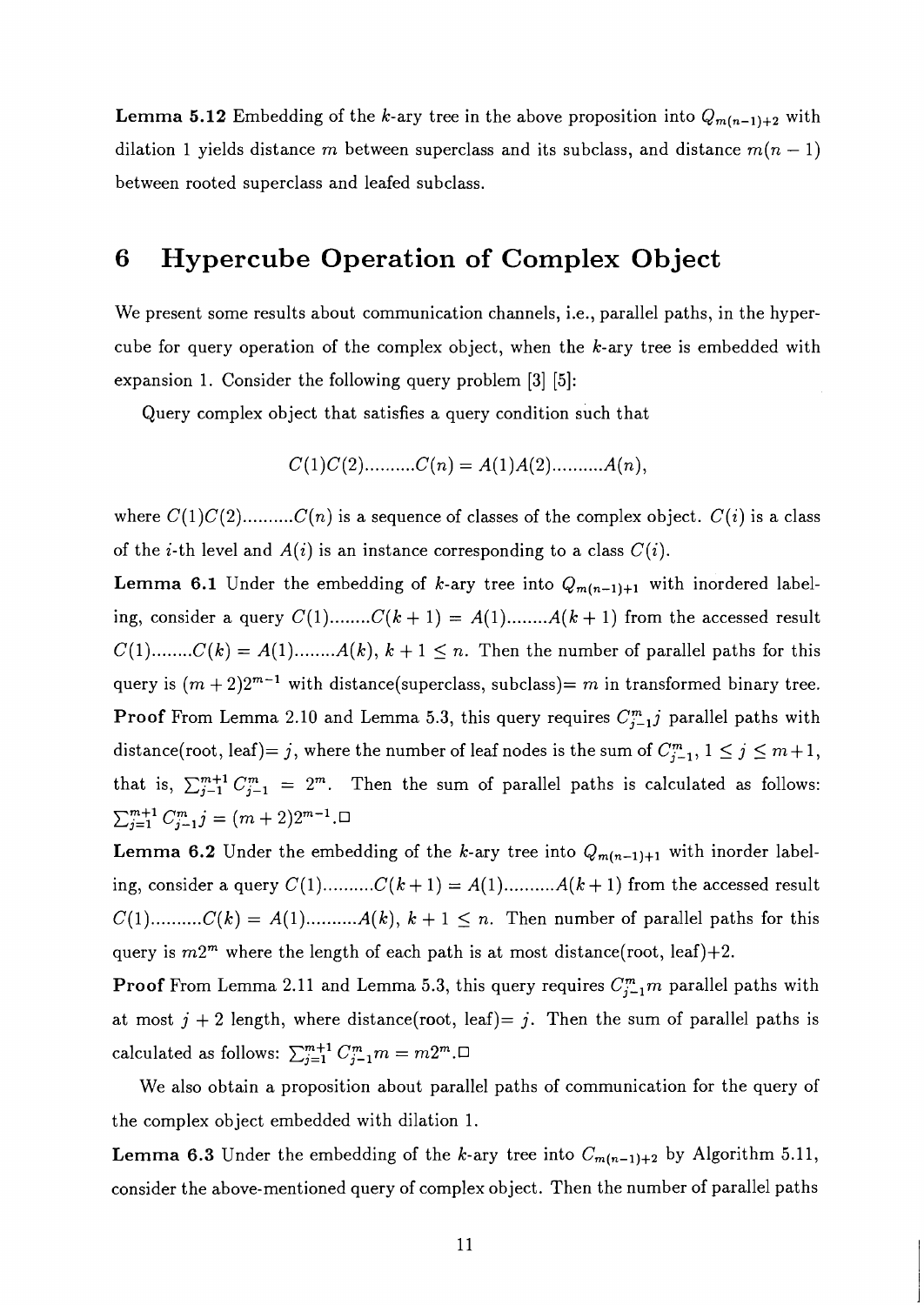**Lemma 5.12** Embedding of the k-ary tree in the above proposition into  $Q_{m(n-1)+2}$  with dilation 1 yields distance m between superclass and its subclass, and distance  $m(n - 1)$ between rooted superclass and leafed subclass.

# **6 Hypercube Operation of Complex Object**

We present some results about communication channels, i.e., parallel paths, in the hypercube for query operation of the complex object, when the k-ary tree is embedded with expansion 1. Consider the following query problem [3] [5]:

Query complex object that satisfies a query condition such that

$$
C(1)C(2)...........C(n) = A(1)A(2)...........A(n),
$$

where C(l)C(2) .......... C(n) is a sequence of classes of the complex object. C(i) is a class of the *i*-th level and  $A(i)$  is an instance corresponding to a class  $C(i)$ .

**Lemma 6.1** Under the embedding of k-ary tree into  $Q_{m(n-1)+1}$  with inordered labeling, consider a query  $C(1)$ ........ $C(k + 1) = A(1)$ ........ $A(k + 1)$  from the accessed result  $C(1)$ ........ $C(k) = A(1)$ ........ $A(k)$ ,  $k + 1 \leq n$ . Then the number of parallel paths for this query is  $(m+2)2^{m-1}$  with distance(superclass, subclass)= m in transformed binary tree. **Proof** From Lemma 2.10 and Lemma 5.3, this query requires  $C_{i-1}^m j$  parallel paths with distance(root, leaf)= j, where the number of leaf nodes is the sum of  $C_{j-1}^m$ ,  $1 \le j \le m+1$ , that is,  $\sum_{j=1}^{m+1} C_{j-1}^m = 2^m$ . Then the sum of parallel paths is calculated as follows:  $\sum_{j=1}^{m+1} C_{j-1}^m j = (m+2)2^{m-1}$  .  $\Box$ 

**Lemma 6.2** Under the embedding of the k-ary tree into  $Q_{m(n-1)+1}$  with inorder labeling, consider a query  $C(1)$ .......... $C(k+1) = A(1)$ .......... $A(k+1)$  from the accessed result  $C(1)$ .......... $C(k) = A(1)$ .......... $A(k)$ ,  $k + 1 \leq n$ . Then number of parallel paths for this query is  $m2^m$  where the length of each path is at most distance(root, leaf)+2.

**Proof** From Lemma 2.11 and Lemma 5.3, this query requires  $C_{j-1}^m m$  parallel paths with at most  $j + 2$  length, where distance(root, leaf)= j. Then the sum of parallel paths is calculated as follows:  $\sum_{j=1}^{m+1} C_{j-1}^m m = m2^m. \Box$ 

We also obtain a proposition about parallel paths of communication for the query of the complex object embedded with dilation 1.

**Lemma 6.3** Under the embedding of the k-ary tree into  $C_{m(n-1)+2}$  by Algorithm 5.11, consider the above-mentioned query of complex object. Then the number of parallel paths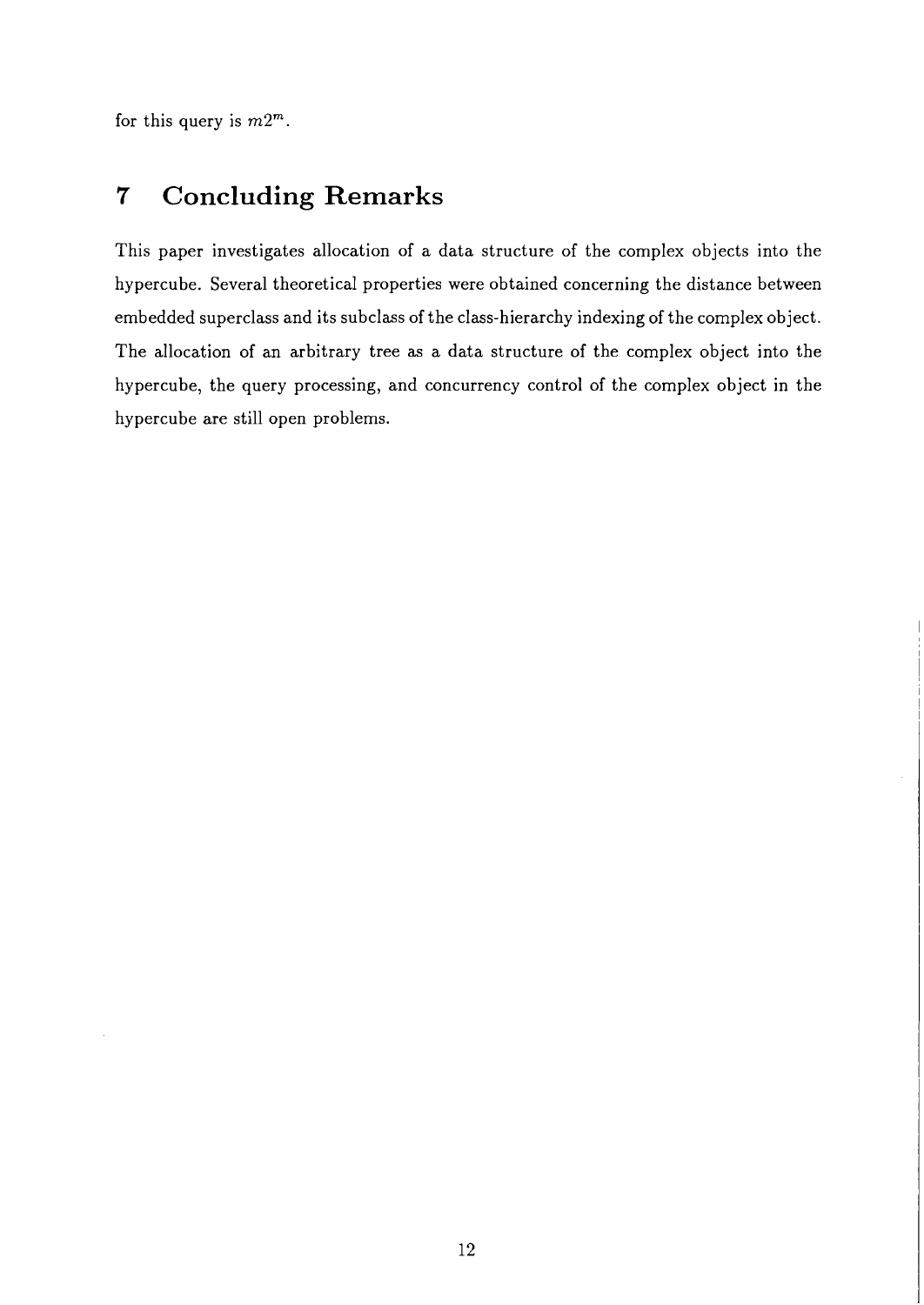for this query is *m2".* 

# **7 Concluding Remarks**

This paper investigates allocation of a data structure of the complex objects into the hypercube. Several theoretical properties were obtained concerning the distance between embedded superclass and its subclass of the class-hierarchy indexing of the complex object. The allocation of an arbitrary tree as a data structure of the complex object into the hypercube, the query processing, and concurrency control of the complex object in the hypercube are still open problems.